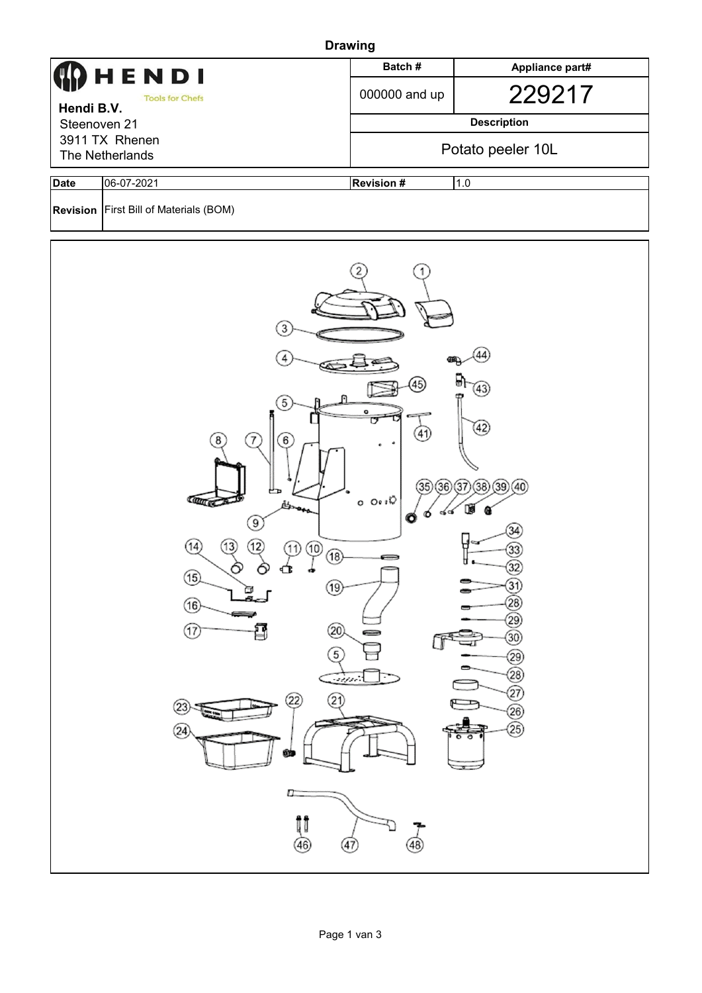| <b>Drawing</b>                                                                                                  |                               |                  |                    |  |  |  |  |
|-----------------------------------------------------------------------------------------------------------------|-------------------------------|------------------|--------------------|--|--|--|--|
| $\bf{Q}$ H E N D I<br><b>Tools for Chefs</b><br>Hendi B.V.<br>Steenoven 21<br>3911 TX Rhenen<br>The Netherlands |                               | Batch#           | Appliance part#    |  |  |  |  |
|                                                                                                                 |                               | 000000 and up    | 229217             |  |  |  |  |
|                                                                                                                 |                               |                  | <b>Description</b> |  |  |  |  |
|                                                                                                                 |                               |                  | Potato peeler 10L  |  |  |  |  |
| <b>Date</b>                                                                                                     | 06-07-2021                    | <b>Revision#</b> | 1.0                |  |  |  |  |
| <b>Revision</b>                                                                                                 | First Bill of Materials (BOM) |                  |                    |  |  |  |  |

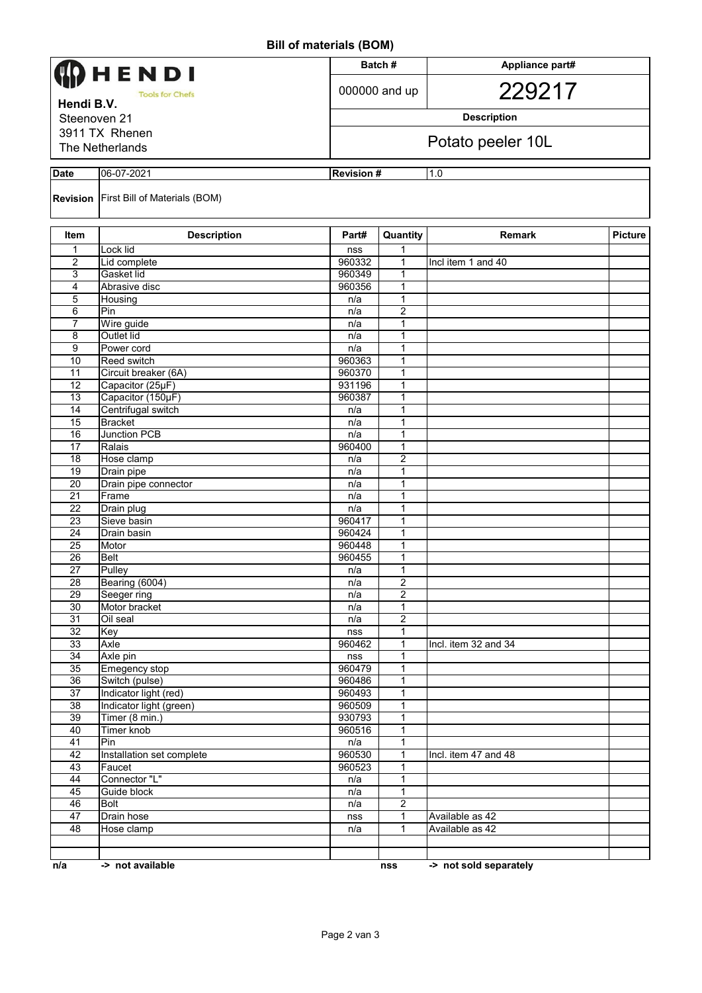## **Bill of materials (BOM)**

|                            |                               | וייסטן טוארוסוויר וס וווכ |                         |                        |         |  |
|----------------------------|-------------------------------|---------------------------|-------------------------|------------------------|---------|--|
| HENDI                      |                               |                           | Batch#                  | Appliance part#        |         |  |
| <b>Tools for Chefs</b>     |                               |                           | 000000 and up           | 229217                 |         |  |
| Hendi B.V.<br>Steenoven 21 |                               |                           |                         | <b>Description</b>     |         |  |
|                            | 3911 TX Rhenen                |                           |                         |                        |         |  |
|                            | The Netherlands               |                           |                         | Potato peeler 10L      |         |  |
| <b>Date</b>                | 06-07-2021                    |                           | <b>Revision#</b><br>1.0 |                        |         |  |
| Revision                   | First Bill of Materials (BOM) |                           |                         |                        |         |  |
| <b>Item</b>                | <b>Description</b>            | Part#                     | Quantity                | <b>Remark</b>          | Picture |  |
| 1                          | Lock lid                      | nss                       | 1                       |                        |         |  |
| 2                          | Lid complete                  | 960332                    | 1                       | Incl item 1 and 40     |         |  |
| 3<br>$\overline{4}$        | Gasket lid<br>Abrasive disc   | 960349<br>960356          | 1<br>$\mathbf{1}$       |                        |         |  |
| 5                          | Housing                       | n/a                       | $\mathbf{1}$            |                        |         |  |
| 6                          | Pin                           | n/a                       | 2                       |                        |         |  |
| $\overline{7}$             | Wire guide                    | n/a                       | 1                       |                        |         |  |
| 8                          | Outlet lid                    | n/a                       | $\mathbf{1}$            |                        |         |  |
| 9                          | Power cord                    | n/a                       | 1                       |                        |         |  |
| 10                         | Reed switch                   | 960363                    | 1                       |                        |         |  |
| 11                         | Circuit breaker (6A)          | 960370                    | $\mathbf{1}$            |                        |         |  |
| 12                         | Capacitor (25µF)              | 931196                    | $\mathbf{1}$            |                        |         |  |
| 13                         | Capacitor (150µF)             | 960387                    | 1                       |                        |         |  |
| 14                         | Centrifugal switch            | n/a                       | 1                       |                        |         |  |
| 15                         | <b>Bracket</b>                | n/a                       | $\mathbf{1}$            |                        |         |  |
| 16                         | <b>Junction PCB</b>           | n/a                       | $\mathbf{1}$            |                        |         |  |
| 17                         | Ralais                        | 960400                    | 1                       |                        |         |  |
| 18                         | Hose clamp                    | n/a                       | $\overline{c}$          |                        |         |  |
| $\overline{19}$            | Drain pipe                    | n/a                       | 1                       |                        |         |  |
| $\overline{20}$            | Drain pipe connector          | n/a                       | 1                       |                        |         |  |
| 21<br>22                   | Frame                         | n/a<br>n/a                | 1<br>1                  |                        |         |  |
| 23                         | Drain plug<br>Sieve basin     | 960417                    | 1                       |                        |         |  |
| 24                         | Drain basin                   | 960424                    | 1                       |                        |         |  |
| 25                         | Motor                         | 960448                    | 1                       |                        |         |  |
| 26                         | <b>Belt</b>                   | 960455                    | 1                       |                        |         |  |
| $\overline{27}$            | Pulley                        | n/a                       | 1                       |                        |         |  |
| 28                         | Bearing (6004)                | n/a                       | $\overline{2}$          |                        |         |  |
| 29                         | Seeger ring                   | n/a                       | $\overline{2}$          |                        |         |  |
| 30                         | Motor bracket                 | n/a                       | 1                       |                        |         |  |
| 31                         | Oil seal                      | n/a                       | $\overline{2}$          |                        |         |  |
| 32                         | Key                           | nss                       | 1                       |                        |         |  |
| 33                         | Axle                          | 960462                    | 1                       | Incl. item 32 and 34   |         |  |
| 34                         | Axle pin                      | nss                       | 1                       |                        |         |  |
| 35                         | <b>Emegency stop</b>          | 960479                    | $\mathbf{1}$            |                        |         |  |
| 36                         | Switch (pulse)                | 960486                    | $\mathbf{1}$            |                        |         |  |
| 37                         | Indicator light (red)         | 960493                    | 1                       |                        |         |  |
| 38                         | Indicator light (green)       | 960509                    | 1                       |                        |         |  |
| 39                         | Timer (8 min.)                | 930793                    | $\mathbf{1}$            |                        |         |  |
| 40<br>41                   | Timer knob<br>Pin             | 960516<br>n/a             | 1<br>1                  |                        |         |  |
| 42                         | Installation set complete     | 960530                    | 1                       | Incl. item 47 and 48   |         |  |
| 43                         | Faucet                        | 960523                    | $\mathbf{1}$            |                        |         |  |
| 44                         | Connector "L"                 | n/a                       | 1                       |                        |         |  |
| 45                         | Guide block                   | n/a                       | 1                       |                        |         |  |
| 46                         | <b>Bolt</b>                   | n/a                       | $\overline{2}$          |                        |         |  |
| 47                         | Drain hose                    | nss                       | 1                       | Available as 42        |         |  |
| 48                         | Hose clamp                    | n/a                       | $\mathbf{1}$            | Available as 42        |         |  |
|                            |                               |                           |                         |                        |         |  |
|                            |                               |                           |                         |                        |         |  |
| n/a                        | -> not available              |                           | nss                     | -> not sold separately |         |  |